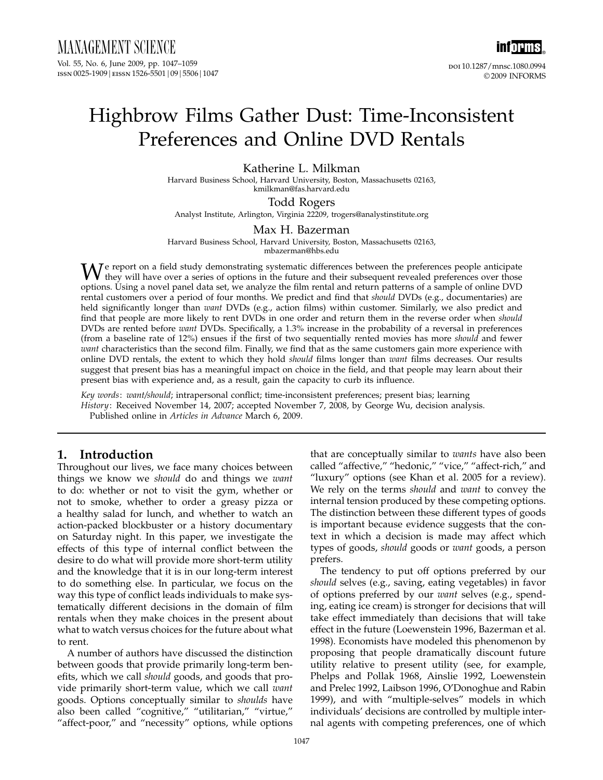

# Highbrow Films Gather Dust: Time-Inconsistent Preferences and Online DVD Rentals

Katherine L. Milkman

Harvard Business School, Harvard University, Boston, Massachusetts 02163, kmilkman@fas.harvard.edu

# Todd Rogers

Analyst Institute, Arlington, Virginia 22209, trogers@analystinstitute.org

#### Max H. Bazerman

Harvard Business School, Harvard University, Boston, Massachusetts 02163, mbazerman@hbs.edu

We report on a field study demonstrating systematic differences between the preferences people anticipate they will have over a series of options in the future and their subsequent revealed preferences over those options. Using a novel panel data set, we analyze the film rental and return patterns of a sample of online DVD rental customers over a period of four months. We predict and find that should DVDs (e.g., documentaries) are held significantly longer than want DVDs (e.g., action films) within customer. Similarly, we also predict and find that people are more likely to rent DVDs in one order and return them in the reverse order when should DVDs are rented before want DVDs. Specifically, a 1.3% increase in the probability of a reversal in preferences (from a baseline rate of 12%) ensues if the first of two sequentially rented movies has more should and fewer want characteristics than the second film. Finally, we find that as the same customers gain more experience with online DVD rentals, the extent to which they hold should films longer than want films decreases. Our results suggest that present bias has a meaningful impact on choice in the field, and that people may learn about their present bias with experience and, as a result, gain the capacity to curb its influence.

Key words: want/should; intrapersonal conflict; time-inconsistent preferences; present bias; learning History: Received November 14, 2007; accepted November 7, 2008, by George Wu, decision analysis. Published online in Articles in Advance March 6, 2009.

# 1. Introduction

Throughout our lives, we face many choices between things we know we should do and things we want to do: whether or not to visit the gym, whether or not to smoke, whether to order a greasy pizza or a healthy salad for lunch, and whether to watch an action-packed blockbuster or a history documentary on Saturday night. In this paper, we investigate the effects of this type of internal conflict between the desire to do what will provide more short-term utility and the knowledge that it is in our long-term interest to do something else. In particular, we focus on the way this type of conflict leads individuals to make systematically different decisions in the domain of film rentals when they make choices in the present about what to watch versus choices for the future about what to rent.

A number of authors have discussed the distinction between goods that provide primarily long-term benefits, which we call should goods, and goods that provide primarily short-term value, which we call want goods. Options conceptually similar to shoulds have also been called "cognitive," "utilitarian," "virtue," "affect-poor," and "necessity" options, while options

that are conceptually similar to wants have also been called "affective," "hedonic," "vice," "affect-rich," and "luxury" options (see Khan et al. 2005 for a review). We rely on the terms should and want to convey the internal tension produced by these competing options. The distinction between these different types of goods is important because evidence suggests that the context in which a decision is made may affect which types of goods, should goods or want goods, a person prefers.

The tendency to put off options preferred by our should selves (e.g., saving, eating vegetables) in favor of options preferred by our want selves (e.g., spending, eating ice cream) is stronger for decisions that will take effect immediately than decisions that will take effect in the future (Loewenstein 1996, Bazerman et al. 1998). Economists have modeled this phenomenon by proposing that people dramatically discount future utility relative to present utility (see, for example, Phelps and Pollak 1968, Ainslie 1992, Loewenstein and Prelec 1992, Laibson 1996, O'Donoghue and Rabin 1999), and with "multiple-selves" models in which individuals' decisions are controlled by multiple internal agents with competing preferences, one of which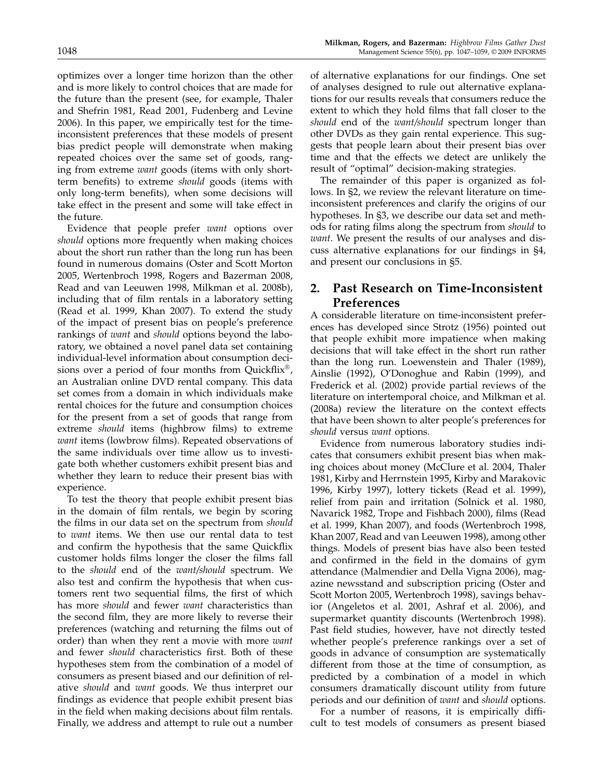optimizes over a longer time horizon than the other and is more likely to control choices that are made for the future than the present (see, for example, Thaler and Shefrin 1981, Read 2001, Fudenberg and Levine 2006). In this paper, we empirically test for the timeinconsistent preferences that these models of present bias predict people will demonstrate when making repeated choices over the same set of goods, ranging from extreme want goods (items with only shortterm benefits) to extreme should goods (items with only long-term benefits), when some decisions will take effect in the present and some will take effect in the future.

Evidence that people prefer want options over should options more frequently when making choices about the short run rather than the long run has been found in numerous domains (Oster and Scott Morton 2005, Wertenbroch 1998, Rogers and Bazerman 2008, Read and van Leeuwen 1998, Milkman et al. 2008b), including that of film rentals in a laboratory setting (Read et al. 1999, Khan 2007). To extend the study of the impact of present bias on people's preference rankings of want and should options beyond the laboratory, we obtained a novel panel data set containing individual-level information about consumption decisions over a period of four months from Quickflix®, an Australian online DVD rental company. This data set comes from a domain in which individuals make rental choices for the future and consumption choices for the present from a set of goods that range from extreme should items (highbrow films) to extreme want items (lowbrow films). Repeated observations of the same individuals over time allow us to investigate both whether customers exhibit present bias and whether they learn to reduce their present bias with experience.

To test the theory that people exhibit present bias in the domain of film rentals, we begin by scoring the films in our data set on the spectrum from should to want items. We then use our rental data to test and confirm the hypothesis that the same Quickflix customer holds films longer the closer the films fall to the should end of the want/should spectrum. We also test and confirm the hypothesis that when customers rent two sequential films, the first of which has more should and fewer want characteristics than the second film, they are more likely to reverse their preferences (watching and returning the films out of order) than when they rent a movie with more want and fewer should characteristics first. Both of these hypotheses stem from the combination of a model of consumers as present biased and our definition of relative should and want goods. We thus interpret our findings as evidence that people exhibit present bias in the field when making decisions about film rentals. Finally, we address and attempt to rule out a number

of alternative explanations for our findings. One set of analyses designed to rule out alternative explanations for our results reveals that consumers reduce the extent to which they hold films that fall closer to the should end of the want/should spectrum longer than other DVDs as they gain rental experience. This suggests that people learn about their present bias over time and that the effects we detect are unlikely the result of "optimal" decision-making strategies.

The remainder of this paper is organized as follows. In §2, we review the relevant literature on timeinconsistent preferences and clarify the origins of our hypotheses. In §3, we describe our data set and methods for rating films along the spectrum from should to want. We present the results of our analyses and discuss alternative explanations for our findings in §4, and present our conclusions in §5.

# 2. Past Research on Time-Inconsistent Preferences

A considerable literature on time-inconsistent preferences has developed since Strotz (1956) pointed out that people exhibit more impatience when making decisions that will take effect in the short run rather than the long run. Loewenstein and Thaler (1989), Ainslie (1992), O'Donoghue and Rabin (1999), and Frederick et al. (2002) provide partial reviews of the literature on intertemporal choice, and Milkman et al. (2008a) review the literature on the context effects that have been shown to alter people's preferences for should versus want options.

Evidence from numerous laboratory studies indicates that consumers exhibit present bias when making choices about money (McClure et al. 2004, Thaler 1981, Kirby and Herrnstein 1995, Kirby and Marakovic 1996, Kirby 1997), lottery tickets (Read et al. 1999), relief from pain and irritation (Solnick et al. 1980, Navarick 1982, Trope and Fishbach 2000), films (Read et al. 1999, Khan 2007), and foods (Wertenbroch 1998, Khan 2007, Read and van Leeuwen 1998), among other things. Models of present bias have also been tested and confirmed in the field in the domains of gym attendance (Malmendier and Della Vigna 2006), magazine newsstand and subscription pricing (Oster and Scott Morton 2005, Wertenbroch 1998), savings behavior (Angeletos et al. 2001, Ashraf et al. 2006), and supermarket quantity discounts (Wertenbroch 1998). Past field studies, however, have not directly tested whether people's preference rankings over a set of goods in advance of consumption are systematically different from those at the time of consumption, as predicted by a combination of a model in which consumers dramatically discount utility from future periods and our definition of want and should options.

For a number of reasons, it is empirically difficult to test models of consumers as present biased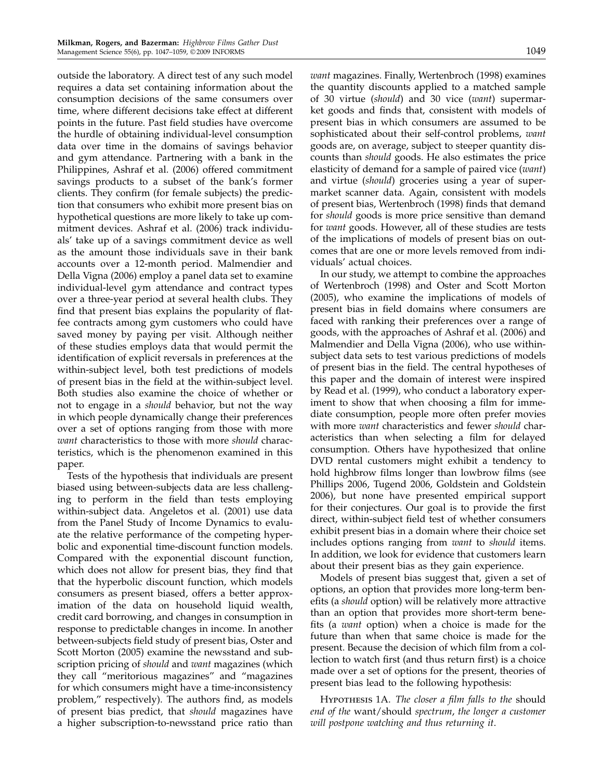outside the laboratory. A direct test of any such model requires a data set containing information about the consumption decisions of the same consumers over time, where different decisions take effect at different points in the future. Past field studies have overcome the hurdle of obtaining individual-level consumption data over time in the domains of savings behavior and gym attendance. Partnering with a bank in the Philippines, Ashraf et al. (2006) offered commitment savings products to a subset of the bank's former clients. They confirm (for female subjects) the prediction that consumers who exhibit more present bias on hypothetical questions are more likely to take up commitment devices. Ashraf et al. (2006) track individuals' take up of a savings commitment device as well as the amount those individuals save in their bank accounts over a 12-month period. Malmendier and Della Vigna (2006) employ a panel data set to examine individual-level gym attendance and contract types over a three-year period at several health clubs. They find that present bias explains the popularity of flatfee contracts among gym customers who could have saved money by paying per visit. Although neither of these studies employs data that would permit the identification of explicit reversals in preferences at the within-subject level, both test predictions of models of present bias in the field at the within-subject level. Both studies also examine the choice of whether or not to engage in a should behavior, but not the way in which people dynamically change their preferences over a set of options ranging from those with more want characteristics to those with more should characteristics, which is the phenomenon examined in this paper.

Tests of the hypothesis that individuals are present biased using between-subjects data are less challenging to perform in the field than tests employing within-subject data. Angeletos et al. (2001) use data from the Panel Study of Income Dynamics to evaluate the relative performance of the competing hyperbolic and exponential time-discount function models. Compared with the exponential discount function, which does not allow for present bias, they find that that the hyperbolic discount function, which models consumers as present biased, offers a better approximation of the data on household liquid wealth, credit card borrowing, and changes in consumption in response to predictable changes in income. In another between-subjects field study of present bias, Oster and Scott Morton (2005) examine the newsstand and subscription pricing of should and want magazines (which they call "meritorious magazines" and "magazines for which consumers might have a time-inconsistency problem," respectively). The authors find, as models of present bias predict, that should magazines have a higher subscription-to-newsstand price ratio than

want magazines. Finally, Wertenbroch (1998) examines the quantity discounts applied to a matched sample of 30 virtue (should) and 30 vice (want) supermarket goods and finds that, consistent with models of present bias in which consumers are assumed to be sophisticated about their self-control problems, want goods are, on average, subject to steeper quantity discounts than should goods. He also estimates the price elasticity of demand for a sample of paired vice (want) and virtue (should) groceries using a year of supermarket scanner data. Again, consistent with models of present bias, Wertenbroch (1998) finds that demand for should goods is more price sensitive than demand for want goods. However, all of these studies are tests of the implications of models of present bias on outcomes that are one or more levels removed from individuals' actual choices.

In our study, we attempt to combine the approaches of Wertenbroch (1998) and Oster and Scott Morton (2005), who examine the implications of models of present bias in field domains where consumers are faced with ranking their preferences over a range of goods, with the approaches of Ashraf et al. (2006) and Malmendier and Della Vigna (2006), who use withinsubject data sets to test various predictions of models of present bias in the field. The central hypotheses of this paper and the domain of interest were inspired by Read et al. (1999), who conduct a laboratory experiment to show that when choosing a film for immediate consumption, people more often prefer movies with more want characteristics and fewer should characteristics than when selecting a film for delayed consumption. Others have hypothesized that online DVD rental customers might exhibit a tendency to hold highbrow films longer than lowbrow films (see Phillips 2006, Tugend 2006, Goldstein and Goldstein 2006), but none have presented empirical support for their conjectures. Our goal is to provide the first direct, within-subject field test of whether consumers exhibit present bias in a domain where their choice set includes options ranging from want to should items. In addition, we look for evidence that customers learn about their present bias as they gain experience.

Models of present bias suggest that, given a set of options, an option that provides more long-term benefits (a should option) will be relatively more attractive than an option that provides more short-term benefits (a want option) when a choice is made for the future than when that same choice is made for the present. Because the decision of which film from a collection to watch first (and thus return first) is a choice made over a set of options for the present, theories of present bias lead to the following hypothesis:

HYPOTHESIS 1A. The closer a film falls to the should end of the want/should spectrum, the longer a customer will postpone watching and thus returning it.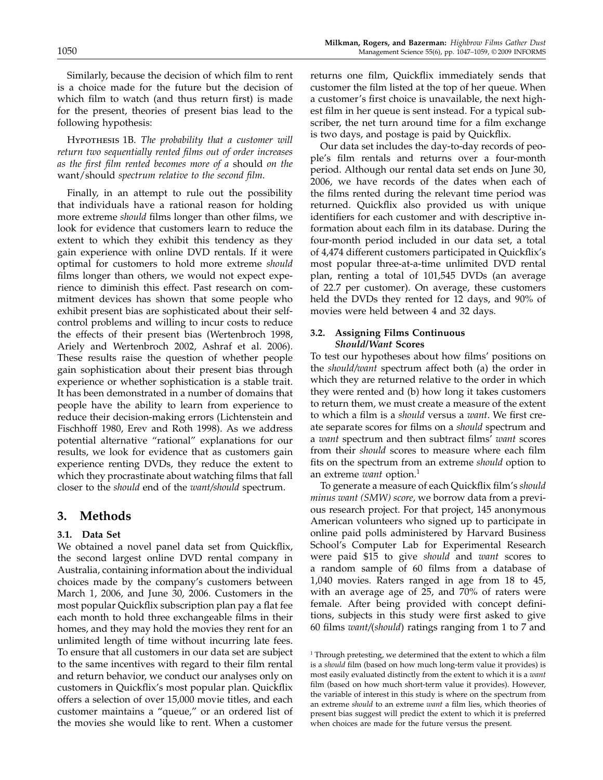Similarly, because the decision of which film to rent is a choice made for the future but the decision of which film to watch (and thus return first) is made for the present, theories of present bias lead to the following hypothesis:

Hypothesis 1B. The probability that a customer will return two sequentially rented films out of order increases as the first film rented becomes more of a should on the want/should spectrum relative to the second film.

Finally, in an attempt to rule out the possibility that individuals have a rational reason for holding more extreme should films longer than other films, we look for evidence that customers learn to reduce the extent to which they exhibit this tendency as they gain experience with online DVD rentals. If it were optimal for customers to hold more extreme should films longer than others, we would not expect experience to diminish this effect. Past research on commitment devices has shown that some people who exhibit present bias are sophisticated about their selfcontrol problems and willing to incur costs to reduce the effects of their present bias (Wertenbroch 1998, Ariely and Wertenbroch 2002, Ashraf et al. 2006). These results raise the question of whether people gain sophistication about their present bias through experience or whether sophistication is a stable trait. It has been demonstrated in a number of domains that people have the ability to learn from experience to reduce their decision-making errors (Lichtenstein and Fischhoff 1980, Erev and Roth 1998). As we address potential alternative "rational" explanations for our results, we look for evidence that as customers gain experience renting DVDs, they reduce the extent to which they procrastinate about watching films that fall closer to the should end of the want/should spectrum.

# 3. Methods

# 3.1. Data Set

We obtained a novel panel data set from Quickflix, the second largest online DVD rental company in Australia, containing information about the individual choices made by the company's customers between March 1, 2006, and June 30, 2006. Customers in the most popular Quickflix subscription plan pay a flat fee each month to hold three exchangeable films in their homes, and they may hold the movies they rent for an unlimited length of time without incurring late fees. To ensure that all customers in our data set are subject to the same incentives with regard to their film rental and return behavior, we conduct our analyses only on customers in Quickflix's most popular plan. Quickflix offers a selection of over 15,000 movie titles, and each customer maintains a "queue," or an ordered list of the movies she would like to rent. When a customer

returns one film, Quickflix immediately sends that customer the film listed at the top of her queue. When a customer's first choice is unavailable, the next highest film in her queue is sent instead. For a typical subscriber, the net turn around time for a film exchange is two days, and postage is paid by Quickflix.

Our data set includes the day-to-day records of people's film rentals and returns over a four-month period. Although our rental data set ends on June 30, 2006, we have records of the dates when each of the films rented during the relevant time period was returned. Quickflix also provided us with unique identifiers for each customer and with descriptive information about each film in its database. During the four-month period included in our data set, a total of 4,474 different customers participated in Quickflix's most popular three-at-a-time unlimited DVD rental plan, renting a total of 101,545 DVDs (an average of 22.7 per customer). On average, these customers held the DVDs they rented for 12 days, and 90% of movies were held between 4 and 32 days.

### 3.2. Assigning Films Continuous Should/Want Scores

To test our hypotheses about how films' positions on the should/want spectrum affect both (a) the order in which they are returned relative to the order in which they were rented and (b) how long it takes customers to return them, we must create a measure of the extent to which a film is a should versus a want. We first create separate scores for films on a should spectrum and a want spectrum and then subtract films' want scores from their should scores to measure where each film fits on the spectrum from an extreme should option to an extreme *want* option.<sup>1</sup>

To generate a measure of each Quickflix film's should minus want (SMW) score, we borrow data from a previous research project. For that project, 145 anonymous American volunteers who signed up to participate in online paid polls administered by Harvard Business School's Computer Lab for Experimental Research were paid \$15 to give should and want scores to a random sample of 60 films from a database of 1,040 movies. Raters ranged in age from 18 to 45, with an average age of 25, and 70% of raters were female. After being provided with concept definitions, subjects in this study were first asked to give 60 films want/(should) ratings ranging from 1 to 7 and

 $1$ <sup>1</sup> Through pretesting, we determined that the extent to which a film is a should film (based on how much long-term value it provides) is most easily evaluated distinctly from the extent to which it is a want film (based on how much short-term value it provides). However, the variable of interest in this study is where on the spectrum from an extreme should to an extreme want a film lies, which theories of present bias suggest will predict the extent to which it is preferred when choices are made for the future versus the present.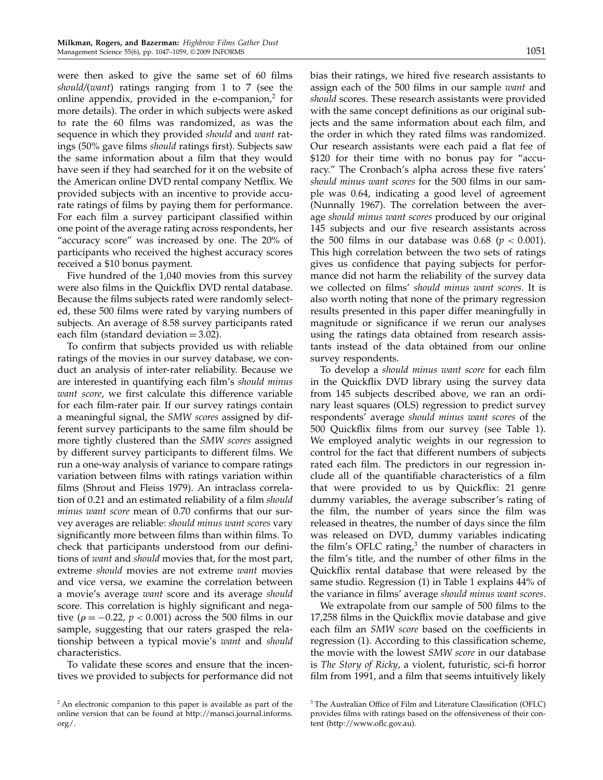were then asked to give the same set of 60 films should/(want) ratings ranging from 1 to 7 (see the online appendix, provided in the e-companion, $2$  for more details). The order in which subjects were asked to rate the 60 films was randomized, as was the sequence in which they provided should and want ratings (50% gave films should ratings first). Subjects saw the same information about a film that they would have seen if they had searched for it on the website of the American online DVD rental company Netflix. We provided subjects with an incentive to provide accurate ratings of films by paying them for performance. For each film a survey participant classified within one point of the average rating across respondents, her "accuracy score" was increased by one. The 20% of participants who received the highest accuracy scores received a \$10 bonus payment.

Five hundred of the 1,040 movies from this survey were also films in the Quickflix DVD rental database. Because the films subjects rated were randomly selected, these 500 films were rated by varying numbers of subjects. An average of 8.58 survey participants rated each film (standard deviation  $= 3.02$ ).

To confirm that subjects provided us with reliable ratings of the movies in our survey database, we conduct an analysis of inter-rater reliability. Because we are interested in quantifying each film's should minus want score, we first calculate this difference variable for each film-rater pair. If our survey ratings contain a meaningful signal, the SMW scores assigned by different survey participants to the same film should be more tightly clustered than the SMW scores assigned by different survey participants to different films. We run a one-way analysis of variance to compare ratings variation between films with ratings variation within films (Shrout and Fleiss 1979). An intraclass correlation of 0.21 and an estimated reliability of a film should minus want score mean of 0.70 confirms that our survey averages are reliable: should minus want scores vary significantly more between films than within films. To check that participants understood from our definitions of want and should movies that, for the most part, extreme should movies are not extreme want movies and vice versa, we examine the correlation between a movie's average want score and its average should score. This correlation is highly significant and negative ( $\rho = -0.22$ ,  $p < 0.001$ ) across the 500 films in our sample, suggesting that our raters grasped the relationship between a typical movie's want and should characteristics.

To validate these scores and ensure that the incentives we provided to subjects for performance did not bias their ratings, we hired five research assistants to assign each of the 500 films in our sample want and should scores. These research assistants were provided with the same concept definitions as our original subjects and the same information about each film, and the order in which they rated films was randomized. Our research assistants were each paid a flat fee of \$120 for their time with no bonus pay for "accuracy." The Cronbach's alpha across these five raters' should minus want scores for the 500 films in our sample was 0.64, indicating a good level of agreement (Nunnally 1967). The correlation between the average should minus want scores produced by our original 145 subjects and our five research assistants across the 500 films in our database was 0.68 ( $p < 0.001$ ). This high correlation between the two sets of ratings gives us confidence that paying subjects for performance did not harm the reliability of the survey data we collected on films' should minus want scores. It is also worth noting that none of the primary regression results presented in this paper differ meaningfully in magnitude or significance if we rerun our analyses using the ratings data obtained from research assistants instead of the data obtained from our online survey respondents.

To develop a should minus want score for each film in the Quickflix DVD library using the survey data from 145 subjects described above, we ran an ordinary least squares (OLS) regression to predict survey respondents' average should minus want scores of the 500 Quickflix films from our survey (see Table 1). We employed analytic weights in our regression to control for the fact that different numbers of subjects rated each film. The predictors in our regression include all of the quantifiable characteristics of a film that were provided to us by Quickflix: 21 genre dummy variables, the average subscriber's rating of the film, the number of years since the film was released in theatres, the number of days since the film was released on DVD, dummy variables indicating the film's OFLC rating, $3$  the number of characters in the film's title, and the number of other films in the Quickflix rental database that were released by the same studio. Regression (1) in Table 1 explains 44% of the variance in films' average should minus want scores.

We extrapolate from our sample of 500 films to the 17,258 films in the Quickflix movie database and give each film an SMW score based on the coefficients in regression (1). According to this classification scheme, the movie with the lowest SMW score in our database is The Story of Ricky, a violent, futuristic, sci-fi horror film from 1991, and a film that seems intuitively likely

<sup>&</sup>lt;sup>2</sup> An electronic companion to this paper is available as part of the online version that can be found at http://mansci.journal.informs. org/.

<sup>&</sup>lt;sup>3</sup> The Australian Office of Film and Literature Classification (OFLC) provides films with ratings based on the offensiveness of their content (http://www.oflc.gov.au).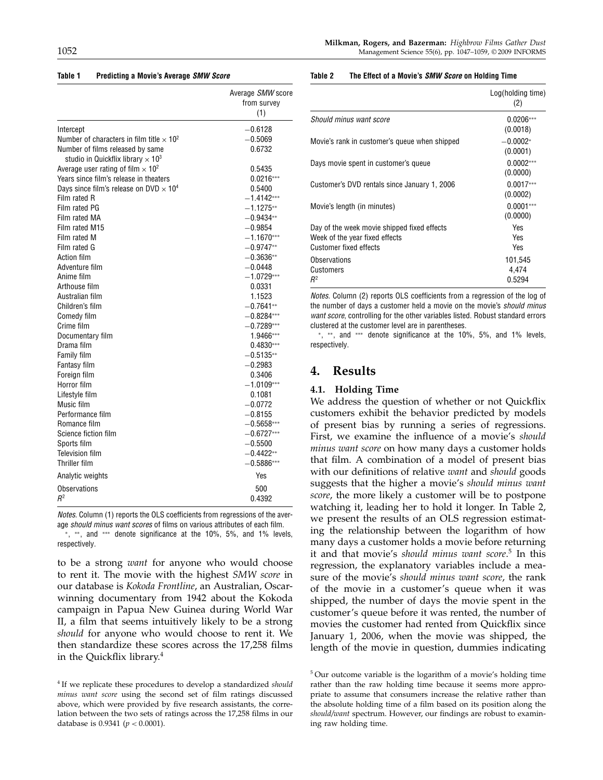#### Table 1 Predicting a Movie's Average SMW Score

|                                                                                          | Average SMW score<br>from survey<br>(1) |
|------------------------------------------------------------------------------------------|-----------------------------------------|
| Intercept                                                                                | $-0.6128$                               |
| Number of characters in film title $\times$ 10 <sup>2</sup>                              | $-0.5069$                               |
| Number of films released by same<br>studio in Quickflix library $\times$ 10 <sup>3</sup> | 0.6732                                  |
| Average user rating of film $\times$ 10 <sup>2</sup>                                     | 0.5435                                  |
| Years since film's release in theaters                                                   | $0.0216***$                             |
| Days since film's release on DVD $\times$ 10 <sup>4</sup>                                | 0.5400                                  |
| Film rated R                                                                             | $-1.4142***$                            |
| Film rated PG                                                                            | $-1.1275**$                             |
| Film rated MA                                                                            | $-0.9434**$                             |
| Film rated M15                                                                           | $-0.9854$                               |
| Film rated M                                                                             | $-1.1670***$                            |
| Film rated G                                                                             | $-0.9747**$                             |
| Action film                                                                              | $-0.3636**$                             |
| Adventure film                                                                           | $-0.0448$                               |
| Anime film                                                                               | $-1.0729***$                            |
| Arthouse film                                                                            | 0.0331                                  |
| Australian film                                                                          | 1.1523                                  |
| Children's film                                                                          | $-0.7641**$                             |
| Comedy film                                                                              | $-0.8284***$                            |
| Crime film                                                                               | $-0.7289***$                            |
| Documentary film                                                                         | 1.9466***                               |
| Drama film                                                                               | $0.4830***$                             |
| Family film                                                                              | $-0.5135**$                             |
| Fantasy film                                                                             | $-0.2983$                               |
| Foreign film                                                                             | 0.3406                                  |
| Horror film                                                                              | $-1.0109***$                            |
| Lifestyle film                                                                           | 0.1081                                  |
| Music film                                                                               | $-0.0772$                               |
| Performance film                                                                         | $-0.8155$                               |
| Romance film                                                                             | $-0.5658***$                            |
| Science fiction film                                                                     | $-0.6727***$                            |
| Sports film                                                                              | $-0.5500$                               |
| Television film                                                                          | $-0.4422**$                             |
| Thriller film                                                                            | $-0.5886***$                            |
| Analytic weights                                                                         | Yes                                     |
| <b>Observations</b>                                                                      | 500                                     |
| R <sup>2</sup>                                                                           | 0.4392                                  |

Notes. Column (1) reports the OLS coefficients from regressions of the average should minus want scores of films on various attributes of each film. <sup>∗</sup>, ∗∗, and ∗∗∗ denote significance at the 10%, 5%, and 1% levels,

respectively.

to be a strong want for anyone who would choose to rent it. The movie with the highest SMW score in our database is Kokoda Frontline, an Australian, Oscarwinning documentary from 1942 about the Kokoda campaign in Papua New Guinea during World War II, a film that seems intuitively likely to be a strong should for anyone who would choose to rent it. We then standardize these scores across the 17,258 films in the Quickflix library.<sup>4</sup>

#### Table 2 The Effect of a Movie's SMW Score on Holding Time

|                                                                                                                | Log(holding time)<br>(2)   |
|----------------------------------------------------------------------------------------------------------------|----------------------------|
| Should minus want score                                                                                        | $0.0206***$<br>(0.0018)    |
| Movie's rank in customer's queue when shipped                                                                  | $-0.0002*$<br>(0.0001)     |
| Days movie spent in customer's queue                                                                           | $0.0002***$<br>(0.0000)    |
| Customer's DVD rentals since January 1, 2006                                                                   | $0.0017***$<br>(0.0002)    |
| Movie's length (in minutes)                                                                                    | $0.0001***$<br>(0.0000)    |
| Day of the week movie shipped fixed effects<br>Week of the year fixed effects<br><b>Customer fixed effects</b> | Yes<br>Yes<br>Yes          |
| Observations<br><b>Customers</b><br>$R^2$                                                                      | 101,545<br>4,474<br>0.5294 |

Notes. Column (2) reports OLS coefficients from a regression of the log of the number of days a customer held a movie on the movie's should minus want score, controlling for the other variables listed. Robust standard errors clustered at the customer level are in parentheses.

<sup>∗</sup>, ∗∗, and ∗∗∗ denote significance at the 10%, 5%, and 1% levels, respectively.

## 4. Results

#### 4.1. Holding Time

We address the question of whether or not Quickflix customers exhibit the behavior predicted by models of present bias by running a series of regressions. First, we examine the influence of a movie's should minus want score on how many days a customer holds that film. A combination of a model of present bias with our definitions of relative want and should goods suggests that the higher a movie's should minus want score, the more likely a customer will be to postpone watching it, leading her to hold it longer. In Table 2, we present the results of an OLS regression estimating the relationship between the logarithm of how many days a customer holds a movie before returning it and that movie's should minus want score. <sup>5</sup> In this regression, the explanatory variables include a measure of the movie's should minus want score, the rank of the movie in a customer's queue when it was shipped, the number of days the movie spent in the customer's queue before it was rented, the number of movies the customer had rented from Quickflix since January 1, 2006, when the movie was shipped, the length of the movie in question, dummies indicating

<sup>&</sup>lt;sup>4</sup> If we replicate these procedures to develop a standardized should minus want score using the second set of film ratings discussed above, which were provided by five research assistants, the correlation between the two sets of ratings across the 17,258 films in our database is 0.9341 ( $p < 0.0001$ ).

<sup>5</sup> Our outcome variable is the logarithm of a movie's holding time rather than the raw holding time because it seems more appropriate to assume that consumers increase the relative rather than the absolute holding time of a film based on its position along the should/want spectrum. However, our findings are robust to examining raw holding time.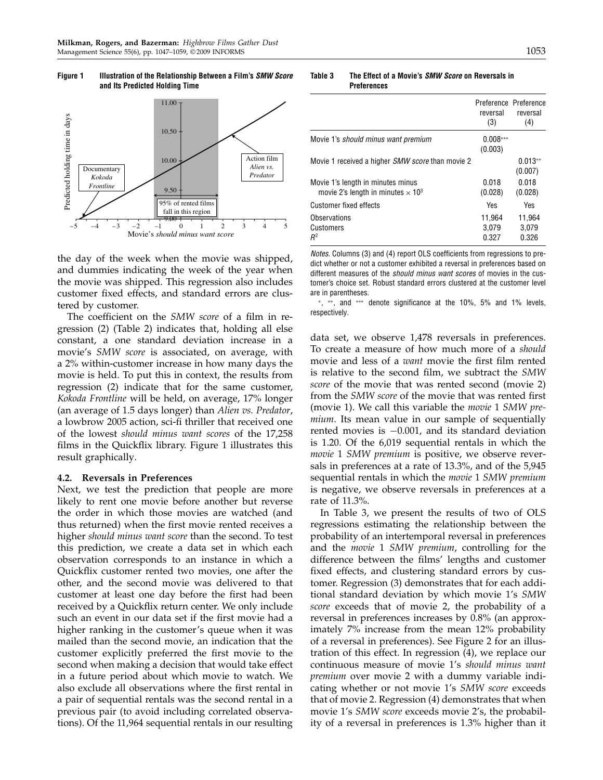11.00 Predicted holding time in days Predicted holding time in days 10.50 Action film 10.00 *Alien vs.* Documentary *Predator Kokoda Frontline* 9.50 95% of rented films fall in this region 9.00 –5 –4 –3 –2 –1 0 1 2 3 4 5 Movie's *should minus want score*

Figure 1 Illustration of the Relationship Between a Film's SMW Score and Its Predicted Holding Time

the day of the week when the movie was shipped, and dummies indicating the week of the year when the movie was shipped. This regression also includes customer fixed effects, and standard errors are clustered by customer.

The coefficient on the SMW score of a film in regression (2) (Table 2) indicates that, holding all else constant, a one standard deviation increase in a movie's SMW score is associated, on average, with a 2% within-customer increase in how many days the movie is held. To put this in context, the results from regression (2) indicate that for the same customer, Kokoda Frontline will be held, on average, 17% longer (an average of 1.5 days longer) than Alien vs. Predator, a lowbrow 2005 action, sci-fi thriller that received one of the lowest should minus want scores of the 17,258 films in the Quickflix library. Figure 1 illustrates this result graphically.

#### 4.2. Reversals in Preferences

Next, we test the prediction that people are more likely to rent one movie before another but reverse the order in which those movies are watched (and thus returned) when the first movie rented receives a higher should minus want score than the second. To test this prediction, we create a data set in which each observation corresponds to an instance in which a Quickflix customer rented two movies, one after the other, and the second movie was delivered to that customer at least one day before the first had been received by a Quickflix return center. We only include such an event in our data set if the first movie had a higher ranking in the customer's queue when it was mailed than the second movie, an indication that the customer explicitly preferred the first movie to the second when making a decision that would take effect in a future period about which movie to watch. We also exclude all observations where the first rental in a pair of sequential rentals was the second rental in a previous pair (to avoid including correlated observations). Of the 11,964 sequential rentals in our resulting

#### Table 3 The Effect of a Movie's SMW Score on Reversals in **Preferences**

|                                                                                           | Preference Preference<br>reversal<br>(3) | reversal<br>(4)          |
|-------------------------------------------------------------------------------------------|------------------------------------------|--------------------------|
| Movie 1's <i>should minus want premium</i>                                                | $0.008***$<br>(0.003)                    |                          |
| Movie 1 received a higher <i>SMW score</i> than movie 2                                   |                                          | $0.013**$<br>(0.007)     |
| Movie 1's length in minutes minus<br>movie 2's length in minutes $\times$ 10 <sup>3</sup> | 0.018<br>(0.028)                         | 0.018<br>(0.028)         |
| <b>Customer fixed effects</b>                                                             | Yes                                      | Yes                      |
| Observations<br>Customers<br>$R^2$                                                        | 11,964<br>3.079<br>0.327                 | 11,964<br>3.079<br>0.326 |

Notes. Columns (3) and (4) report OLS coefficients from regressions to predict whether or not a customer exhibited a reversal in preferences based on different measures of the should minus want scores of movies in the customer's choice set. Robust standard errors clustered at the customer level are in parentheses.

<sup>∗</sup>, ∗∗, and ∗∗∗ denote significance at the 10%, 5% and 1% levels, respectively.

data set, we observe 1,478 reversals in preferences. To create a measure of how much more of a should movie and less of a want movie the first film rented is relative to the second film, we subtract the SMW score of the movie that was rented second (movie 2) from the SMW score of the movie that was rented first (movie 1). We call this variable the *movie* 1 SMW premium. Its mean value in our sample of sequentially rented movies is −0.001, and its standard deviation is 1.20. Of the 6,019 sequential rentals in which the movie 1 SMW premium is positive, we observe reversals in preferences at a rate of 13.3%, and of the 5,945 sequential rentals in which the *movie* 1 SMW premium is negative, we observe reversals in preferences at a rate of 11.3%.

In Table 3, we present the results of two of OLS regressions estimating the relationship between the probability of an intertemporal reversal in preferences and the movie 1 SMW premium, controlling for the difference between the films' lengths and customer fixed effects, and clustering standard errors by customer. Regression (3) demonstrates that for each additional standard deviation by which movie 1's SMW score exceeds that of movie 2, the probability of a reversal in preferences increases by 0.8% (an approximately 7% increase from the mean 12% probability of a reversal in preferences). See Figure 2 for an illustration of this effect. In regression (4), we replace our continuous measure of movie 1's should minus want premium over movie 2 with a dummy variable indicating whether or not movie 1's SMW score exceeds that of movie 2. Regression (4) demonstrates that when movie 1's SMW score exceeds movie 2's, the probability of a reversal in preferences is 1.3% higher than it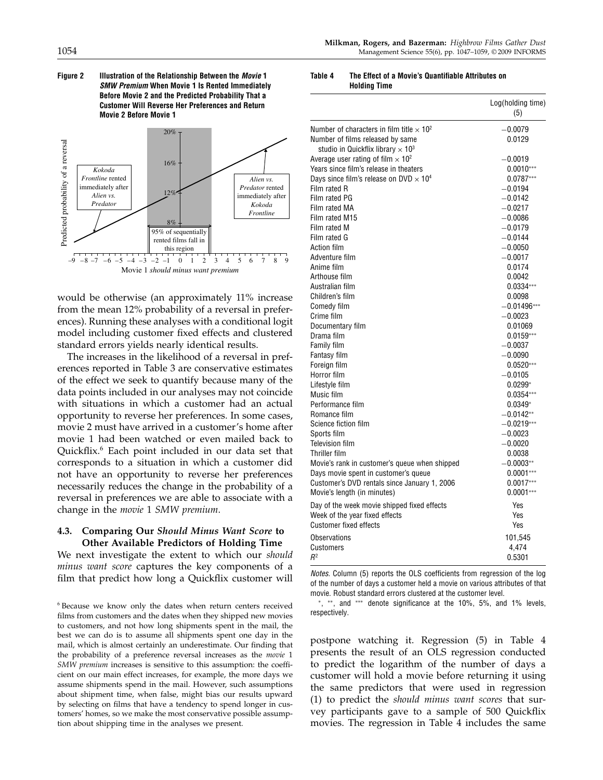



would be otherwise (an approximately 11% increase from the mean 12% probability of a reversal in preferences). Running these analyses with a conditional logit model including customer fixed effects and clustered standard errors yields nearly identical results.

The increases in the likelihood of a reversal in preferences reported in Table 3 are conservative estimates of the effect we seek to quantify because many of the data points included in our analyses may not coincide with situations in which a customer had an actual opportunity to reverse her preferences. In some cases, movie 2 must have arrived in a customer's home after movie 1 had been watched or even mailed back to Quickflix.<sup>6</sup> Each point included in our data set that corresponds to a situation in which a customer did not have an opportunity to reverse her preferences necessarily reduces the change in the probability of a reversal in preferences we are able to associate with a change in the movie 1 SMW premium.

#### 4.3. Comparing Our Should Minus Want Score to Other Available Predictors of Holding Time

We next investigate the extent to which our should minus want score captures the key components of a film that predict how long a Quickflix customer will

#### Table 4 The Effect of a Movie's Quantifiable Attributes on Holding Time

| Log(holding time)<br>(5)<br>Number of characters in film title $\times$ 10 <sup>2</sup><br>$-0.0079$<br>Number of films released by same<br>0.0129<br>studio in Quickflix library $\times$ 10 <sup>3</sup><br>Average user rating of film $\times$ 10 <sup>2</sup><br>$-0.0019$<br>Years since film's release in theaters<br>$0.0010***$<br>Davs since film's release on DVD $\times$ 10 <sup>4</sup><br>$0.0787***$<br>Film rated R<br>$-0.0194$<br>Film rated PG<br>$-0.0142$<br>Film rated MA<br>$-0.0217$<br>Film rated M15<br>$-0.0086$<br>Film rated M<br>$-0.0179$<br>Film rated G<br>$-0.0144$<br>Action film<br>$-0.0050$<br>Adventure film<br>$-0.0017$<br>Anime film<br>0.0174<br>Arthouse film<br>0.0042<br>Australian film<br>$0.0334***$<br>Children's film<br>0.0098<br>Comedy film<br>$-0.01496^{***}$<br>Crime film<br>$-0.0023$<br>Documentary film<br>0.01069<br>Drama film<br>$0.0159***$<br>Family film<br>$-0.0037$<br>Fantasy film<br>$-0.0090$<br>Foreign film<br>$0.0520***$<br>Horror film<br>$-0.0105$<br>Lifestyle film<br>$0.0299*$<br>Music film<br>$0.0354***$<br>Performance film<br>$0.0349*$<br>Romance film<br>$-0.0142**$<br>Science fiction film<br>$-0.0219***$<br>Sports film<br>$-0.0023$<br><b>Television film</b><br>$-0.0020$<br>Thriller film<br>0.0038<br>Movie's rank in customer's queue when shipped<br>$-0.0003^{**}$<br>Days movie spent in customer's queue<br>$0.0001***$<br>Customer's DVD rentals since January 1, 2006<br>$0.0017***$<br>Movie's length (in minutes)<br>$0.0001***$<br>Day of the week movie shipped fixed effects<br>Yes<br>Week of the year fixed effects<br>Yes<br><b>Customer fixed effects</b><br>Yes<br>101,545<br><b>Observations</b><br>4.474<br><b>Customers</b><br>$R^2$<br>0.5301 |  |
|---------------------------------------------------------------------------------------------------------------------------------------------------------------------------------------------------------------------------------------------------------------------------------------------------------------------------------------------------------------------------------------------------------------------------------------------------------------------------------------------------------------------------------------------------------------------------------------------------------------------------------------------------------------------------------------------------------------------------------------------------------------------------------------------------------------------------------------------------------------------------------------------------------------------------------------------------------------------------------------------------------------------------------------------------------------------------------------------------------------------------------------------------------------------------------------------------------------------------------------------------------------------------------------------------------------------------------------------------------------------------------------------------------------------------------------------------------------------------------------------------------------------------------------------------------------------------------------------------------------------------------------------------------------------------------------------------------------------------------------------------------------------|--|
|                                                                                                                                                                                                                                                                                                                                                                                                                                                                                                                                                                                                                                                                                                                                                                                                                                                                                                                                                                                                                                                                                                                                                                                                                                                                                                                                                                                                                                                                                                                                                                                                                                                                                                                                                                     |  |
|                                                                                                                                                                                                                                                                                                                                                                                                                                                                                                                                                                                                                                                                                                                                                                                                                                                                                                                                                                                                                                                                                                                                                                                                                                                                                                                                                                                                                                                                                                                                                                                                                                                                                                                                                                     |  |
|                                                                                                                                                                                                                                                                                                                                                                                                                                                                                                                                                                                                                                                                                                                                                                                                                                                                                                                                                                                                                                                                                                                                                                                                                                                                                                                                                                                                                                                                                                                                                                                                                                                                                                                                                                     |  |
|                                                                                                                                                                                                                                                                                                                                                                                                                                                                                                                                                                                                                                                                                                                                                                                                                                                                                                                                                                                                                                                                                                                                                                                                                                                                                                                                                                                                                                                                                                                                                                                                                                                                                                                                                                     |  |
|                                                                                                                                                                                                                                                                                                                                                                                                                                                                                                                                                                                                                                                                                                                                                                                                                                                                                                                                                                                                                                                                                                                                                                                                                                                                                                                                                                                                                                                                                                                                                                                                                                                                                                                                                                     |  |
|                                                                                                                                                                                                                                                                                                                                                                                                                                                                                                                                                                                                                                                                                                                                                                                                                                                                                                                                                                                                                                                                                                                                                                                                                                                                                                                                                                                                                                                                                                                                                                                                                                                                                                                                                                     |  |
|                                                                                                                                                                                                                                                                                                                                                                                                                                                                                                                                                                                                                                                                                                                                                                                                                                                                                                                                                                                                                                                                                                                                                                                                                                                                                                                                                                                                                                                                                                                                                                                                                                                                                                                                                                     |  |
|                                                                                                                                                                                                                                                                                                                                                                                                                                                                                                                                                                                                                                                                                                                                                                                                                                                                                                                                                                                                                                                                                                                                                                                                                                                                                                                                                                                                                                                                                                                                                                                                                                                                                                                                                                     |  |
|                                                                                                                                                                                                                                                                                                                                                                                                                                                                                                                                                                                                                                                                                                                                                                                                                                                                                                                                                                                                                                                                                                                                                                                                                                                                                                                                                                                                                                                                                                                                                                                                                                                                                                                                                                     |  |
|                                                                                                                                                                                                                                                                                                                                                                                                                                                                                                                                                                                                                                                                                                                                                                                                                                                                                                                                                                                                                                                                                                                                                                                                                                                                                                                                                                                                                                                                                                                                                                                                                                                                                                                                                                     |  |
|                                                                                                                                                                                                                                                                                                                                                                                                                                                                                                                                                                                                                                                                                                                                                                                                                                                                                                                                                                                                                                                                                                                                                                                                                                                                                                                                                                                                                                                                                                                                                                                                                                                                                                                                                                     |  |
|                                                                                                                                                                                                                                                                                                                                                                                                                                                                                                                                                                                                                                                                                                                                                                                                                                                                                                                                                                                                                                                                                                                                                                                                                                                                                                                                                                                                                                                                                                                                                                                                                                                                                                                                                                     |  |
|                                                                                                                                                                                                                                                                                                                                                                                                                                                                                                                                                                                                                                                                                                                                                                                                                                                                                                                                                                                                                                                                                                                                                                                                                                                                                                                                                                                                                                                                                                                                                                                                                                                                                                                                                                     |  |
|                                                                                                                                                                                                                                                                                                                                                                                                                                                                                                                                                                                                                                                                                                                                                                                                                                                                                                                                                                                                                                                                                                                                                                                                                                                                                                                                                                                                                                                                                                                                                                                                                                                                                                                                                                     |  |
|                                                                                                                                                                                                                                                                                                                                                                                                                                                                                                                                                                                                                                                                                                                                                                                                                                                                                                                                                                                                                                                                                                                                                                                                                                                                                                                                                                                                                                                                                                                                                                                                                                                                                                                                                                     |  |
|                                                                                                                                                                                                                                                                                                                                                                                                                                                                                                                                                                                                                                                                                                                                                                                                                                                                                                                                                                                                                                                                                                                                                                                                                                                                                                                                                                                                                                                                                                                                                                                                                                                                                                                                                                     |  |
|                                                                                                                                                                                                                                                                                                                                                                                                                                                                                                                                                                                                                                                                                                                                                                                                                                                                                                                                                                                                                                                                                                                                                                                                                                                                                                                                                                                                                                                                                                                                                                                                                                                                                                                                                                     |  |
|                                                                                                                                                                                                                                                                                                                                                                                                                                                                                                                                                                                                                                                                                                                                                                                                                                                                                                                                                                                                                                                                                                                                                                                                                                                                                                                                                                                                                                                                                                                                                                                                                                                                                                                                                                     |  |
|                                                                                                                                                                                                                                                                                                                                                                                                                                                                                                                                                                                                                                                                                                                                                                                                                                                                                                                                                                                                                                                                                                                                                                                                                                                                                                                                                                                                                                                                                                                                                                                                                                                                                                                                                                     |  |
|                                                                                                                                                                                                                                                                                                                                                                                                                                                                                                                                                                                                                                                                                                                                                                                                                                                                                                                                                                                                                                                                                                                                                                                                                                                                                                                                                                                                                                                                                                                                                                                                                                                                                                                                                                     |  |
|                                                                                                                                                                                                                                                                                                                                                                                                                                                                                                                                                                                                                                                                                                                                                                                                                                                                                                                                                                                                                                                                                                                                                                                                                                                                                                                                                                                                                                                                                                                                                                                                                                                                                                                                                                     |  |
|                                                                                                                                                                                                                                                                                                                                                                                                                                                                                                                                                                                                                                                                                                                                                                                                                                                                                                                                                                                                                                                                                                                                                                                                                                                                                                                                                                                                                                                                                                                                                                                                                                                                                                                                                                     |  |
|                                                                                                                                                                                                                                                                                                                                                                                                                                                                                                                                                                                                                                                                                                                                                                                                                                                                                                                                                                                                                                                                                                                                                                                                                                                                                                                                                                                                                                                                                                                                                                                                                                                                                                                                                                     |  |
|                                                                                                                                                                                                                                                                                                                                                                                                                                                                                                                                                                                                                                                                                                                                                                                                                                                                                                                                                                                                                                                                                                                                                                                                                                                                                                                                                                                                                                                                                                                                                                                                                                                                                                                                                                     |  |
|                                                                                                                                                                                                                                                                                                                                                                                                                                                                                                                                                                                                                                                                                                                                                                                                                                                                                                                                                                                                                                                                                                                                                                                                                                                                                                                                                                                                                                                                                                                                                                                                                                                                                                                                                                     |  |
|                                                                                                                                                                                                                                                                                                                                                                                                                                                                                                                                                                                                                                                                                                                                                                                                                                                                                                                                                                                                                                                                                                                                                                                                                                                                                                                                                                                                                                                                                                                                                                                                                                                                                                                                                                     |  |
|                                                                                                                                                                                                                                                                                                                                                                                                                                                                                                                                                                                                                                                                                                                                                                                                                                                                                                                                                                                                                                                                                                                                                                                                                                                                                                                                                                                                                                                                                                                                                                                                                                                                                                                                                                     |  |
|                                                                                                                                                                                                                                                                                                                                                                                                                                                                                                                                                                                                                                                                                                                                                                                                                                                                                                                                                                                                                                                                                                                                                                                                                                                                                                                                                                                                                                                                                                                                                                                                                                                                                                                                                                     |  |
|                                                                                                                                                                                                                                                                                                                                                                                                                                                                                                                                                                                                                                                                                                                                                                                                                                                                                                                                                                                                                                                                                                                                                                                                                                                                                                                                                                                                                                                                                                                                                                                                                                                                                                                                                                     |  |
|                                                                                                                                                                                                                                                                                                                                                                                                                                                                                                                                                                                                                                                                                                                                                                                                                                                                                                                                                                                                                                                                                                                                                                                                                                                                                                                                                                                                                                                                                                                                                                                                                                                                                                                                                                     |  |
|                                                                                                                                                                                                                                                                                                                                                                                                                                                                                                                                                                                                                                                                                                                                                                                                                                                                                                                                                                                                                                                                                                                                                                                                                                                                                                                                                                                                                                                                                                                                                                                                                                                                                                                                                                     |  |
|                                                                                                                                                                                                                                                                                                                                                                                                                                                                                                                                                                                                                                                                                                                                                                                                                                                                                                                                                                                                                                                                                                                                                                                                                                                                                                                                                                                                                                                                                                                                                                                                                                                                                                                                                                     |  |
|                                                                                                                                                                                                                                                                                                                                                                                                                                                                                                                                                                                                                                                                                                                                                                                                                                                                                                                                                                                                                                                                                                                                                                                                                                                                                                                                                                                                                                                                                                                                                                                                                                                                                                                                                                     |  |
|                                                                                                                                                                                                                                                                                                                                                                                                                                                                                                                                                                                                                                                                                                                                                                                                                                                                                                                                                                                                                                                                                                                                                                                                                                                                                                                                                                                                                                                                                                                                                                                                                                                                                                                                                                     |  |
|                                                                                                                                                                                                                                                                                                                                                                                                                                                                                                                                                                                                                                                                                                                                                                                                                                                                                                                                                                                                                                                                                                                                                                                                                                                                                                                                                                                                                                                                                                                                                                                                                                                                                                                                                                     |  |
|                                                                                                                                                                                                                                                                                                                                                                                                                                                                                                                                                                                                                                                                                                                                                                                                                                                                                                                                                                                                                                                                                                                                                                                                                                                                                                                                                                                                                                                                                                                                                                                                                                                                                                                                                                     |  |
|                                                                                                                                                                                                                                                                                                                                                                                                                                                                                                                                                                                                                                                                                                                                                                                                                                                                                                                                                                                                                                                                                                                                                                                                                                                                                                                                                                                                                                                                                                                                                                                                                                                                                                                                                                     |  |
|                                                                                                                                                                                                                                                                                                                                                                                                                                                                                                                                                                                                                                                                                                                                                                                                                                                                                                                                                                                                                                                                                                                                                                                                                                                                                                                                                                                                                                                                                                                                                                                                                                                                                                                                                                     |  |
|                                                                                                                                                                                                                                                                                                                                                                                                                                                                                                                                                                                                                                                                                                                                                                                                                                                                                                                                                                                                                                                                                                                                                                                                                                                                                                                                                                                                                                                                                                                                                                                                                                                                                                                                                                     |  |
|                                                                                                                                                                                                                                                                                                                                                                                                                                                                                                                                                                                                                                                                                                                                                                                                                                                                                                                                                                                                                                                                                                                                                                                                                                                                                                                                                                                                                                                                                                                                                                                                                                                                                                                                                                     |  |
|                                                                                                                                                                                                                                                                                                                                                                                                                                                                                                                                                                                                                                                                                                                                                                                                                                                                                                                                                                                                                                                                                                                                                                                                                                                                                                                                                                                                                                                                                                                                                                                                                                                                                                                                                                     |  |
|                                                                                                                                                                                                                                                                                                                                                                                                                                                                                                                                                                                                                                                                                                                                                                                                                                                                                                                                                                                                                                                                                                                                                                                                                                                                                                                                                                                                                                                                                                                                                                                                                                                                                                                                                                     |  |
|                                                                                                                                                                                                                                                                                                                                                                                                                                                                                                                                                                                                                                                                                                                                                                                                                                                                                                                                                                                                                                                                                                                                                                                                                                                                                                                                                                                                                                                                                                                                                                                                                                                                                                                                                                     |  |
|                                                                                                                                                                                                                                                                                                                                                                                                                                                                                                                                                                                                                                                                                                                                                                                                                                                                                                                                                                                                                                                                                                                                                                                                                                                                                                                                                                                                                                                                                                                                                                                                                                                                                                                                                                     |  |
|                                                                                                                                                                                                                                                                                                                                                                                                                                                                                                                                                                                                                                                                                                                                                                                                                                                                                                                                                                                                                                                                                                                                                                                                                                                                                                                                                                                                                                                                                                                                                                                                                                                                                                                                                                     |  |

Notes. Column (5) reports the OLS coefficients from regression of the log of the number of days a customer held a movie on various attributes of that movie. Robust standard errors clustered at the customer level.

<sup>∗</sup>, ∗∗, and ∗∗∗ denote significance at the 10%, 5%, and 1% levels, respectively.

postpone watching it. Regression (5) in Table 4 presents the result of an OLS regression conducted to predict the logarithm of the number of days a customer will hold a movie before returning it using the same predictors that were used in regression (1) to predict the should minus want scores that survey participants gave to a sample of 500 Quickflix movies. The regression in Table 4 includes the same

<sup>6</sup> Because we know only the dates when return centers received films from customers and the dates when they shipped new movies to customers, and not how long shipments spent in the mail, the best we can do is to assume all shipments spent one day in the mail, which is almost certainly an underestimate. Our finding that the probability of a preference reversal increases as the movie 1 SMW premium increases is sensitive to this assumption: the coefficient on our main effect increases, for example, the more days we assume shipments spend in the mail. However, such assumptions about shipment time, when false, might bias our results upward by selecting on films that have a tendency to spend longer in customers' homes, so we make the most conservative possible assumption about shipping time in the analyses we present.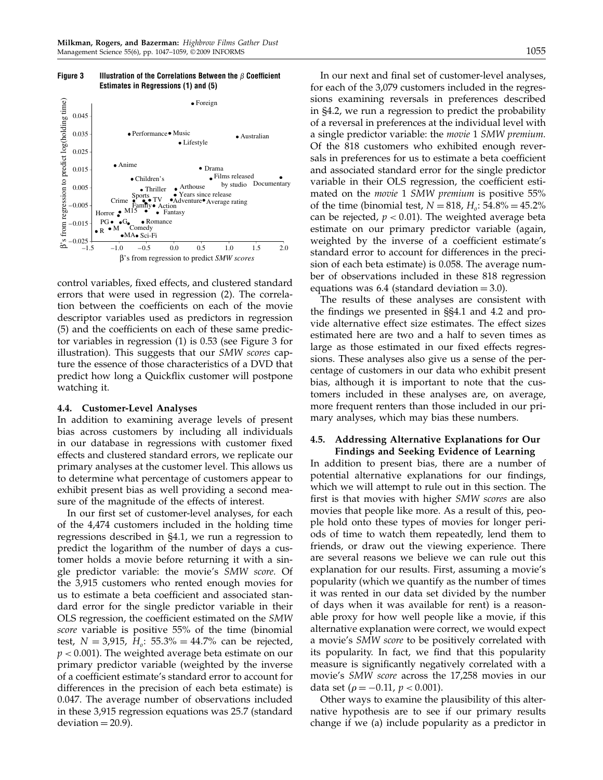

control variables, fixed effects, and clustered standard errors that were used in regression (2). The correlation between the coefficients on each of the movie descriptor variables used as predictors in regression (5) and the coefficients on each of these same predictor variables in regression (1) is 0.53 (see Figure 3 for illustration). This suggests that our SMW scores capture the essence of those characteristics of a DVD that predict how long a Quickflix customer will postpone watching it.

#### 4.4. Customer-Level Analyses

In addition to examining average levels of present bias across customers by including all individuals in our database in regressions with customer fixed effects and clustered standard errors, we replicate our primary analyses at the customer level. This allows us to determine what percentage of customers appear to exhibit present bias as well providing a second measure of the magnitude of the effects of interest.

In our first set of customer-level analyses, for each of the 4,474 customers included in the holding time regressions described in §4.1, we run a regression to predict the logarithm of the number of days a customer holds a movie before returning it with a single predictor variable: the movie's SMW score. Of the 3,915 customers who rented enough movies for us to estimate a beta coefficient and associated standard error for the single predictor variable in their OLS regression, the coefficient estimated on the SMW score variable is positive 55% of the time (binomial test,  $N = 3.915$ ,  $H_a$ : 55.3% = 44.7% can be rejected,  $p < 0.001$ ). The weighted average beta estimate on our primary predictor variable (weighted by the inverse of a coefficient estimate's standard error to account for differences in the precision of each beta estimate) is 0.047. The average number of observations included in these 3,915 regression equations was 25.7 (standard  $deviation = 20.9$ .

In our next and final set of customer-level analyses, for each of the 3,079 customers included in the regressions examining reversals in preferences described in §4.2, we run a regression to predict the probability of a reversal in preferences at the individual level with a single predictor variable: the movie 1 SMW premium. Of the 818 customers who exhibited enough reversals in preferences for us to estimate a beta coefficient and associated standard error for the single predictor variable in their OLS regression, the coefficient estimated on the movie 1 SMW premium is positive 55% of the time (binomial test,  $N = 818$ ,  $H_a$ : 54.8% = 45.2% can be rejected,  $p < 0.01$ ). The weighted average beta estimate on our primary predictor variable (again, weighted by the inverse of a coefficient estimate's standard error to account for differences in the precision of each beta estimate) is 0.058. The average number of observations included in these 818 regression equations was  $6.4$  (standard deviation  $= 3.0$ ).

The results of these analyses are consistent with the findings we presented in §§4.1 and 4.2 and provide alternative effect size estimates. The effect sizes estimated here are two and a half to seven times as large as those estimated in our fixed effects regressions. These analyses also give us a sense of the percentage of customers in our data who exhibit present bias, although it is important to note that the customers included in these analyses are, on average, more frequent renters than those included in our primary analyses, which may bias these numbers.

#### 4.5. Addressing Alternative Explanations for Our Findings and Seeking Evidence of Learning

In addition to present bias, there are a number of potential alternative explanations for our findings, which we will attempt to rule out in this section. The first is that movies with higher SMW scores are also movies that people like more. As a result of this, people hold onto these types of movies for longer periods of time to watch them repeatedly, lend them to friends, or draw out the viewing experience. There are several reasons we believe we can rule out this explanation for our results. First, assuming a movie's popularity (which we quantify as the number of times it was rented in our data set divided by the number of days when it was available for rent) is a reasonable proxy for how well people like a movie, if this alternative explanation were correct, we would expect a movie's SMW score to be positively correlated with its popularity. In fact, we find that this popularity measure is significantly negatively correlated with a movie's SMW score across the 17,258 movies in our data set ( $\rho = -0.11$ ,  $p < 0.001$ ).

Other ways to examine the plausibility of this alternative hypothesis are to see if our primary results change if we (a) include popularity as a predictor in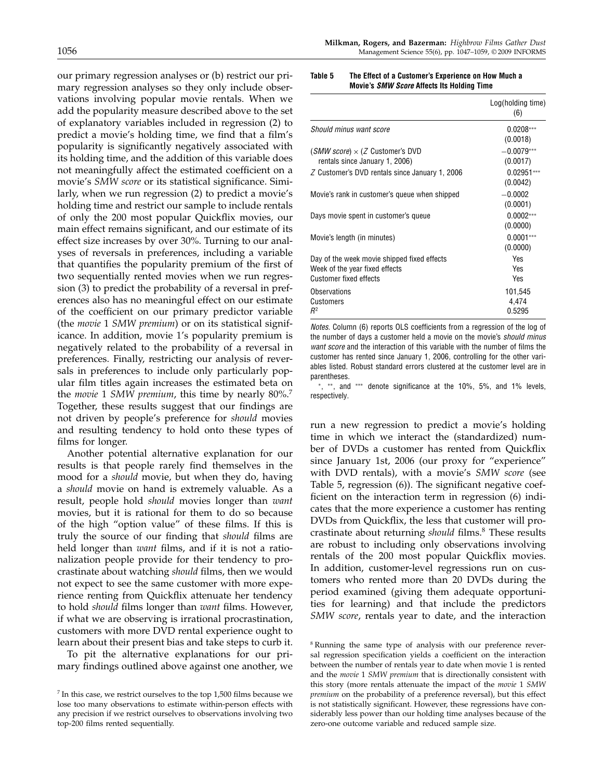our primary regression analyses or (b) restrict our primary regression analyses so they only include observations involving popular movie rentals. When we add the popularity measure described above to the set of explanatory variables included in regression (2) to predict a movie's holding time, we find that a film's popularity is significantly negatively associated with its holding time, and the addition of this variable does not meaningfully affect the estimated coefficient on a movie's SMW score or its statistical significance. Similarly, when we run regression (2) to predict a movie's holding time and restrict our sample to include rentals of only the 200 most popular Quickflix movies, our main effect remains significant, and our estimate of its effect size increases by over 30%. Turning to our analyses of reversals in preferences, including a variable that quantifies the popularity premium of the first of two sequentially rented movies when we run regression (3) to predict the probability of a reversal in preferences also has no meaningful effect on our estimate of the coefficient on our primary predictor variable (the *movie* 1 SMW premium) or on its statistical significance. In addition, movie 1's popularity premium is negatively related to the probability of a reversal in preferences. Finally, restricting our analysis of reversals in preferences to include only particularly popular film titles again increases the estimated beta on the *movie* 1 SMW *premium*, this time by nearly 80%.<sup>7</sup> Together, these results suggest that our findings are not driven by people's preference for should movies and resulting tendency to hold onto these types of films for longer.

Another potential alternative explanation for our results is that people rarely find themselves in the mood for a should movie, but when they do, having a should movie on hand is extremely valuable. As a result, people hold should movies longer than want movies, but it is rational for them to do so because of the high "option value" of these films. If this is truly the source of our finding that should films are held longer than *want* films, and if it is not a rationalization people provide for their tendency to procrastinate about watching should films, then we would not expect to see the same customer with more experience renting from Quickflix attenuate her tendency to hold should films longer than want films. However, if what we are observing is irrational procrastination, customers with more DVD rental experience ought to learn about their present bias and take steps to curb it.

To pit the alternative explanations for our primary findings outlined above against one another, we

#### Table 5 The Effect of a Customer's Experience on How Much a Movie's SMW Score Affects Its Holding Time

|                                                                                                                | Log(holding time)<br>(6)        |
|----------------------------------------------------------------------------------------------------------------|---------------------------------|
| Should minus want score                                                                                        | $0.0208***$<br>(0.0018)         |
| <i>(SMW score)</i> $\times$ ( <i>Z</i> Customer's DVD<br>rentals since January 1, 2006)                        | $-0.0079***$<br>(0.0017)        |
| Z Customer's DVD rentals since January 1, 2006                                                                 | $0.02951***$<br>(0.0042)        |
| Movie's rank in customer's queue when shipped                                                                  | $-0.0002$<br>(0.0001)           |
| Days movie spent in customer's queue                                                                           | $0.0002***$<br>(0.0000)         |
| Movie's length (in minutes)                                                                                    | $0.0001***$<br>(0.0000)         |
| Day of the week movie shipped fixed effects<br>Week of the year fixed effects<br><b>Customer fixed effects</b> | <b>Yes</b><br>Yes<br><b>Yes</b> |
| Observations<br>Customers<br>R <sup>2</sup>                                                                    | 101,545<br>4,474<br>0.5295      |

Notes. Column (6) reports OLS coefficients from a regression of the log of the number of days a customer held a movie on the movie's should minus want score and the interaction of this variable with the number of films the customer has rented since January 1, 2006, controlling for the other variables listed. Robust standard errors clustered at the customer level are in parentheses.

<sup>∗</sup>, ∗∗, and ∗∗∗ denote significance at the 10%, 5%, and 1% levels, respectively.

run a new regression to predict a movie's holding time in which we interact the (standardized) number of DVDs a customer has rented from Quickflix since January 1st, 2006 (our proxy for "experience" with DVD rentals), with a movie's SMW score (see Table 5, regression (6)). The significant negative coefficient on the interaction term in regression (6) indicates that the more experience a customer has renting DVDs from Quickflix, the less that customer will procrastinate about returning *should* films.<sup>8</sup> These results are robust to including only observations involving rentals of the 200 most popular Quickflix movies. In addition, customer-level regressions run on customers who rented more than 20 DVDs during the period examined (giving them adequate opportunities for learning) and that include the predictors SMW score, rentals year to date, and the interaction

 $7$  In this case, we restrict ourselves to the top 1,500 films because we lose too many observations to estimate within-person effects with any precision if we restrict ourselves to observations involving two top-200 films rented sequentially.

<sup>&</sup>lt;sup>8</sup> Running the same type of analysis with our preference reversal regression specification yields a coefficient on the interaction between the number of rentals year to date when movie 1 is rented and the movie 1 SMW premium that is directionally consistent with this story (more rentals attenuate the impact of the movie 1 SMW premium on the probability of a preference reversal), but this effect is not statistically significant. However, these regressions have considerably less power than our holding time analyses because of the zero-one outcome variable and reduced sample size.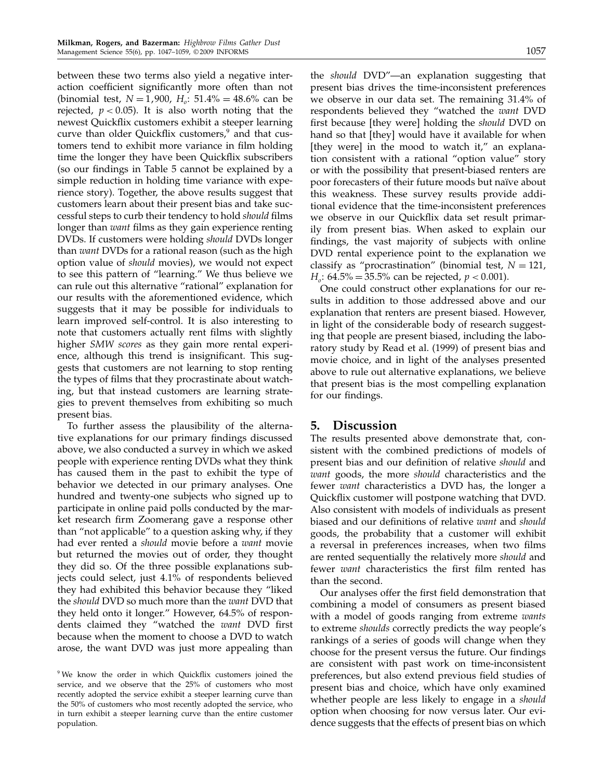between these two terms also yield a negative interaction coefficient significantly more often than not (binomial test,  $N = 1,900$ ,  $H_o$ : 51.4% = 48.6% can be rejected,  $p < 0.05$ ). It is also worth noting that the newest Quickflix customers exhibit a steeper learning curve than older Quickflix customers, $9$  and that customers tend to exhibit more variance in film holding time the longer they have been Quickflix subscribers (so our findings in Table 5 cannot be explained by a simple reduction in holding time variance with experience story). Together, the above results suggest that customers learn about their present bias and take successful steps to curb their tendency to hold should films longer than *want* films as they gain experience renting DVDs. If customers were holding should DVDs longer than want DVDs for a rational reason (such as the high option value of should movies), we would not expect to see this pattern of "learning." We thus believe we can rule out this alternative "rational" explanation for our results with the aforementioned evidence, which suggests that it may be possible for individuals to learn improved self-control. It is also interesting to note that customers actually rent films with slightly higher *SMW scores* as they gain more rental experience, although this trend is insignificant. This suggests that customers are not learning to stop renting the types of films that they procrastinate about watching, but that instead customers are learning strategies to prevent themselves from exhibiting so much present bias.

To further assess the plausibility of the alternative explanations for our primary findings discussed above, we also conducted a survey in which we asked people with experience renting DVDs what they think has caused them in the past to exhibit the type of behavior we detected in our primary analyses. One hundred and twenty-one subjects who signed up to participate in online paid polls conducted by the market research firm Zoomerang gave a response other than "not applicable" to a question asking why, if they had ever rented a should movie before a want movie but returned the movies out of order, they thought they did so. Of the three possible explanations subjects could select, just 4.1% of respondents believed they had exhibited this behavior because they "liked the should DVD so much more than the want DVD that they held onto it longer." However, 64.5% of respondents claimed they "watched the want DVD first because when the moment to choose a DVD to watch arose, the want DVD was just more appealing than

the should DVD"—an explanation suggesting that present bias drives the time-inconsistent preferences we observe in our data set. The remaining 31.4% of respondents believed they "watched the want DVD first because [they were] holding the should DVD on hand so that [they] would have it available for when [they were] in the mood to watch it," an explanation consistent with a rational "option value" story or with the possibility that present-biased renters are poor forecasters of their future moods but naïve about this weakness. These survey results provide additional evidence that the time-inconsistent preferences we observe in our Quickflix data set result primarily from present bias. When asked to explain our findings, the vast majority of subjects with online DVD rental experience point to the explanation we classify as "procrastination" (binomial test,  $N = 121$ ,  $H_o$ : 64.5% = 35.5% can be rejected,  $p < 0.001$ ).

One could construct other explanations for our results in addition to those addressed above and our explanation that renters are present biased. However, in light of the considerable body of research suggesting that people are present biased, including the laboratory study by Read et al. (1999) of present bias and movie choice, and in light of the analyses presented above to rule out alternative explanations, we believe that present bias is the most compelling explanation for our findings.

# 5. Discussion

The results presented above demonstrate that, consistent with the combined predictions of models of present bias and our definition of relative should and want goods, the more should characteristics and the fewer want characteristics a DVD has, the longer a Quickflix customer will postpone watching that DVD. Also consistent with models of individuals as present biased and our definitions of relative want and should goods, the probability that a customer will exhibit a reversal in preferences increases, when two films are rented sequentially the relatively more should and fewer want characteristics the first film rented has than the second.

Our analyses offer the first field demonstration that combining a model of consumers as present biased with a model of goods ranging from extreme wants to extreme shoulds correctly predicts the way people's rankings of a series of goods will change when they choose for the present versus the future. Our findings are consistent with past work on time-inconsistent preferences, but also extend previous field studies of present bias and choice, which have only examined whether people are less likely to engage in a *should* option when choosing for now versus later. Our evidence suggests that the effects of present bias on which

<sup>&</sup>lt;sup>9</sup> We know the order in which Quickflix customers joined the service, and we observe that the 25% of customers who most recently adopted the service exhibit a steeper learning curve than the 50% of customers who most recently adopted the service, who in turn exhibit a steeper learning curve than the entire customer population.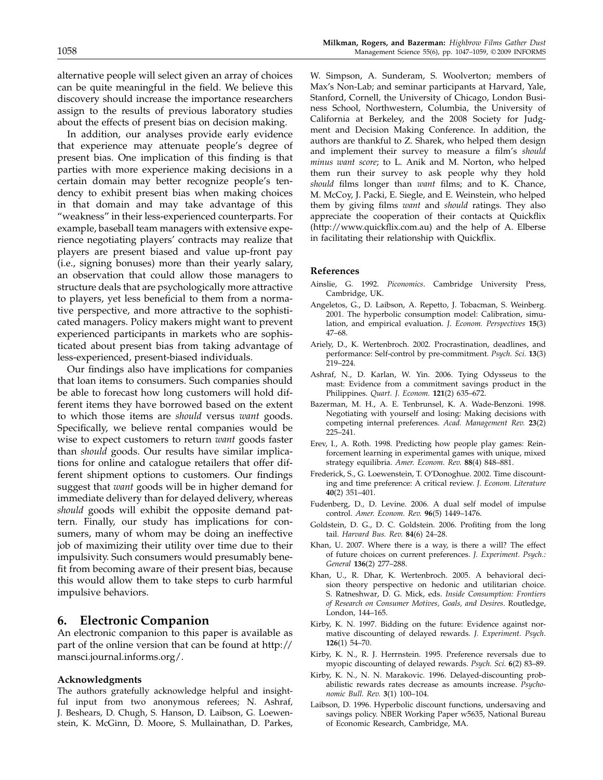alternative people will select given an array of choices can be quite meaningful in the field. We believe this discovery should increase the importance researchers assign to the results of previous laboratory studies about the effects of present bias on decision making.

In addition, our analyses provide early evidence that experience may attenuate people's degree of present bias. One implication of this finding is that parties with more experience making decisions in a certain domain may better recognize people's tendency to exhibit present bias when making choices in that domain and may take advantage of this "weakness" in their less-experienced counterparts. For example, baseball team managers with extensive experience negotiating players' contracts may realize that players are present biased and value up-front pay (i.e., signing bonuses) more than their yearly salary, an observation that could allow those managers to structure deals that are psychologically more attractive to players, yet less beneficial to them from a normative perspective, and more attractive to the sophisticated managers. Policy makers might want to prevent experienced participants in markets who are sophisticated about present bias from taking advantage of less-experienced, present-biased individuals.

Our findings also have implications for companies that loan items to consumers. Such companies should be able to forecast how long customers will hold different items they have borrowed based on the extent to which those items are should versus want goods. Specifically, we believe rental companies would be wise to expect customers to return want goods faster than should goods. Our results have similar implications for online and catalogue retailers that offer different shipment options to customers. Our findings suggest that want goods will be in higher demand for immediate delivery than for delayed delivery, whereas should goods will exhibit the opposite demand pattern. Finally, our study has implications for consumers, many of whom may be doing an ineffective job of maximizing their utility over time due to their impulsivity. Such consumers would presumably benefit from becoming aware of their present bias, because this would allow them to take steps to curb harmful impulsive behaviors.

## 6. Electronic Companion

An electronic companion to this paper is available as part of the online version that can be found at http:// mansci.journal.informs.org/.

#### Acknowledgments

The authors gratefully acknowledge helpful and insightful input from two anonymous referees; N. Ashraf, J. Beshears, D. Chugh, S. Hanson, D. Laibson, G. Loewenstein, K. McGinn, D. Moore, S. Mullainathan, D. Parkes,

W. Simpson, A. Sunderam, S. Woolverton; members of Max's Non-Lab; and seminar participants at Harvard, Yale, Stanford, Cornell, the University of Chicago, London Business School, Northwestern, Columbia, the University of California at Berkeley, and the 2008 Society for Judgment and Decision Making Conference. In addition, the authors are thankful to Z. Sharek, who helped them design and implement their survey to measure a film's should minus want score; to L. Anik and M. Norton, who helped them run their survey to ask people why they hold should films longer than want films; and to K. Chance, M. McCoy, J. Packi, E. Siegle, and E. Weinstein, who helped them by giving films want and should ratings. They also appreciate the cooperation of their contacts at Quickflix (http://www.quickflix.com.au) and the help of A. Elberse in facilitating their relationship with Quickflix.

#### References

- Ainslie, G. 1992. Piconomics. Cambridge University Press, Cambridge, UK.
- Angeletos, G., D. Laibson, A. Repetto, J. Tobacman, S. Weinberg. 2001. The hyperbolic consumption model: Calibration, simulation, and empirical evaluation. J. Econom. Perspectives 15(3) 47–68.
- Ariely, D., K. Wertenbroch. 2002. Procrastination, deadlines, and performance: Self-control by pre-commitment. Psych. Sci. 13(3) 219–224.
- Ashraf, N., D. Karlan, W. Yin. 2006. Tying Odysseus to the mast: Evidence from a commitment savings product in the Philippines. Quart. J. Econom. 121(2) 635–672.
- Bazerman, M. H., A. E. Tenbrunsel, K. A. Wade-Benzoni. 1998. Negotiating with yourself and losing: Making decisions with competing internal preferences. Acad. Management Rev. 23(2) 225–241.
- Erev, I., A. Roth. 1998. Predicting how people play games: Reinforcement learning in experimental games with unique, mixed strategy equilibria. Amer. Econom. Rev. 88(4) 848–881.
- Frederick, S., G. Loewenstein, T. O'Donoghue. 2002. Time discounting and time preference: A critical review. J. Econom. Literature 40(2) 351–401.
- Fudenberg, D., D. Levine. 2006. A dual self model of impulse control. Amer. Econom. Rev. 96(5) 1449–1476.
- Goldstein, D. G., D. C. Goldstein. 2006. Profiting from the long tail. Harvard Bus. Rev. 84(6) 24–28.
- Khan, U. 2007. Where there is a way, is there a will? The effect of future choices on current preferences. J. Experiment. Psych.: General 136(2) 277–288.
- Khan, U., R. Dhar, K. Wertenbroch. 2005. A behavioral decision theory perspective on hedonic and utilitarian choice. S. Ratneshwar, D. G. Mick, eds. Inside Consumption: Frontiers of Research on Consumer Motives, Goals, and Desires. Routledge, London, 144–165.
- Kirby, K. N. 1997. Bidding on the future: Evidence against normative discounting of delayed rewards. J. Experiment. Psych. 126(1) 54–70.
- Kirby, K. N., R. J. Herrnstein. 1995. Preference reversals due to myopic discounting of delayed rewards. Psych. Sci. 6(2) 83–89.
- Kirby, K. N., N. N. Marakovic. 1996. Delayed-discounting probabilistic rewards rates decrease as amounts increase. Psychonomic Bull. Rev. 3(1) 100–104.
- Laibson, D. 1996. Hyperbolic discount functions, undersaving and savings policy. NBER Working Paper w5635, National Bureau of Economic Research, Cambridge, MA.